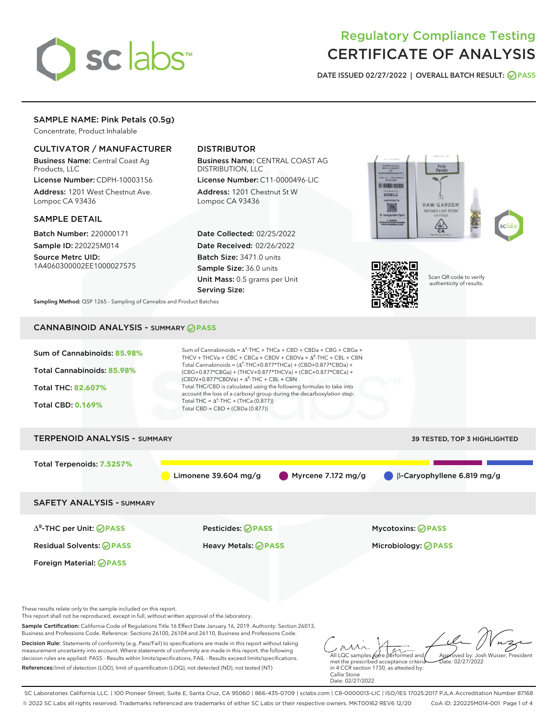

# Regulatory Compliance Testing CERTIFICATE OF ANALYSIS

DATE ISSUED 02/27/2022 | OVERALL BATCH RESULT: @ PASS

# SAMPLE NAME: Pink Petals (0.5g)

Concentrate, Product Inhalable

# CULTIVATOR / MANUFACTURER

Business Name: Central Coast Ag Products, LLC

License Number: CDPH-10003156 Address: 1201 West Chestnut Ave. Lompoc CA 93436

#### SAMPLE DETAIL

Batch Number: 220000171 Sample ID: 220225M014

Source Metrc UID: 1A4060300002EE1000027575

# DISTRIBUTOR

Business Name: CENTRAL COAST AG DISTRIBUTION, LLC

License Number: C11-0000496-LIC Address: 1201 Chestnut St W Lompoc CA 93436

Date Collected: 02/25/2022 Date Received: 02/26/2022 Batch Size: 3471.0 units Sample Size: 36.0 units Unit Mass: 0.5 grams per Unit Serving Size:





Scan QR code to verify authenticity of results.

Sampling Method: QSP 1265 - Sampling of Cannabis and Product Batches

# CANNABINOID ANALYSIS - SUMMARY **PASS**



References:limit of detection (LOD), limit of quantification (LOQ), not detected (ND), not tested (NT)

met the prescribed acceptance criteria in 4 CCR section 1730, as attested by: Callie Stone Date: 02/27/2022

SC Laboratories California LLC. | 100 Pioneer Street, Suite E, Santa Cruz, CA 95060 | 866-435-0709 | sclabs.com | C8-0000013-LIC | ISO/IES 17025:2017 PJLA Accreditation Number 87168 © 2022 SC Labs all rights reserved. Trademarks referenced are trademarks of either SC Labs or their respective owners. MKT00162 REV6 12/20 CoA ID: 220225M014-001 Page 1 of 4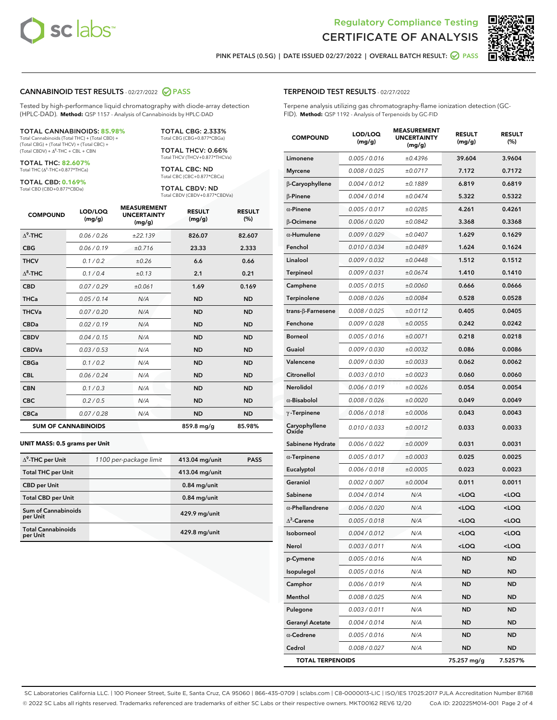



PINK PETALS (0.5G) | DATE ISSUED 02/27/2022 | OVERALL BATCH RESULT:  $\bigcirc$  PASS

#### CANNABINOID TEST RESULTS - 02/27/2022 2 PASS

Tested by high-performance liquid chromatography with diode-array detection (HPLC-DAD). **Method:** QSP 1157 - Analysis of Cannabinoids by HPLC-DAD

#### TOTAL CANNABINOIDS: **85.98%** Total Cannabinoids (Total THC) + (Total CBD) +

(Total CBG) + (Total THCV) + (Total CBC) +  $(Total CBDV) +  $\Delta^8$ -THC + CBL + CBN$ 

TOTAL THC: **82.607%** Total THC (Δ<sup>9</sup>-THC+0.877\*THCa)

TOTAL CBD: **0.169%**

Total CBD (CBD+0.877\*CBDa)

TOTAL CBG: 2.333% Total CBG (CBG+0.877\*CBGa)

TOTAL THCV: 0.66% Total THCV (THCV+0.877\*THCVa)

TOTAL CBC: ND Total CBC (CBC+0.877\*CBCa)

TOTAL CBDV: ND Total CBDV (CBDV+0.877\*CBDVa)

| <b>COMPOUND</b>  | LOD/LOQ<br>(mg/g)          | <b>MEASUREMENT</b><br><b>UNCERTAINTY</b><br>(mg/g) | <b>RESULT</b><br>(mg/g) | <b>RESULT</b><br>(%) |
|------------------|----------------------------|----------------------------------------------------|-------------------------|----------------------|
| $\Lambda^9$ -THC | 0.06 / 0.26                | ±22.139                                            | 826.07                  | 82.607               |
| <b>CBG</b>       | 0.06/0.19                  | ±0.716                                             | 23.33                   | 2.333                |
| <b>THCV</b>      | 0.1 / 0.2                  | ±0.26                                              | 6.6                     | 0.66                 |
| $\Delta^8$ -THC  | 0.1/0.4                    | ±0.13                                              | 2.1                     | 0.21                 |
| <b>CBD</b>       | 0.07/0.29                  | ±0.061                                             | 1.69                    | 0.169                |
| <b>THCa</b>      | 0.05/0.14                  | N/A                                                | <b>ND</b>               | <b>ND</b>            |
| <b>THCVa</b>     | 0.07/0.20                  | N/A                                                | <b>ND</b>               | <b>ND</b>            |
| <b>CBDa</b>      | 0.02/0.19                  | N/A                                                | <b>ND</b>               | <b>ND</b>            |
| <b>CBDV</b>      | 0.04 / 0.15                | N/A                                                | <b>ND</b>               | <b>ND</b>            |
| <b>CBDVa</b>     | 0.03/0.53                  | N/A                                                | <b>ND</b>               | <b>ND</b>            |
| <b>CBGa</b>      | 0.1/0.2                    | N/A                                                | <b>ND</b>               | <b>ND</b>            |
| <b>CBL</b>       | 0.06 / 0.24                | N/A                                                | <b>ND</b>               | <b>ND</b>            |
| <b>CBN</b>       | 0.1/0.3                    | N/A                                                | <b>ND</b>               | <b>ND</b>            |
| <b>CBC</b>       | 0.2 / 0.5                  | N/A                                                | <b>ND</b>               | <b>ND</b>            |
| <b>CBCa</b>      | 0.07/0.28                  | N/A                                                | <b>ND</b>               | <b>ND</b>            |
|                  | <b>SUM OF CANNABINOIDS</b> |                                                    | 859.8 mg/g              | 85.98%               |

#### **UNIT MASS: 0.5 grams per Unit**

| $\Delta^9$ -THC per Unit              | 1100 per-package limit | 413.04 mg/unit | <b>PASS</b> |
|---------------------------------------|------------------------|----------------|-------------|
| <b>Total THC per Unit</b>             |                        | 413.04 mg/unit |             |
| <b>CBD</b> per Unit                   |                        | $0.84$ mg/unit |             |
| <b>Total CBD per Unit</b>             |                        | $0.84$ mg/unit |             |
| Sum of Cannabinoids<br>per Unit       |                        | 429.9 mg/unit  |             |
| <b>Total Cannabinoids</b><br>per Unit |                        | 429.8 mg/unit  |             |

| <b>COMPOUND</b>           | LOD/LOQ<br>(mg/g) | <b>MEASUREMENT</b><br><b>UNCERTAINTY</b><br>(mq/q) | <b>RESULT</b><br>(mg/g)                         | <b>RESULT</b><br>$(\%)$ |
|---------------------------|-------------------|----------------------------------------------------|-------------------------------------------------|-------------------------|
| Limonene                  | 0.005 / 0.016     | ±0.4396                                            | 39.604                                          | 3.9604                  |
| <b>Myrcene</b>            | 0.008 / 0.025     | ±0.0717                                            | 7.172                                           | 0.7172                  |
| β-Caryophyllene           | 0.004 / 0.012     | ±0.1889                                            | 6.819                                           | 0.6819                  |
| $\beta$ -Pinene           | 0.004 / 0.014     | ±0.0474                                            | 5.322                                           | 0.5322                  |
| $\alpha$ -Pinene          | 0.005 / 0.017     | ±0.0285                                            | 4.261                                           | 0.4261                  |
| <b>B-Ocimene</b>          | 0.006 / 0.020     | ±0.0842                                            | 3.368                                           | 0.3368                  |
| $\alpha$ -Humulene        | 0.009 / 0.029     | ±0.0407                                            | 1.629                                           | 0.1629                  |
| Fenchol                   | 0.010 / 0.034     | ±0.0489                                            | 1.624                                           | 0.1624                  |
| Linalool                  | 0.009 / 0.032     | ±0.0448                                            | 1.512                                           | 0.1512                  |
| <b>Terpineol</b>          | 0.009 / 0.031     | ±0.0674                                            | 1.410                                           | 0.1410                  |
| Camphene                  | 0.005 / 0.015     | ±0.0060                                            | 0.666                                           | 0.0666                  |
| Terpinolene               | 0.008 / 0.026     | ±0.0084                                            | 0.528                                           | 0.0528                  |
| trans- $\beta$ -Farnesene | 0.008 / 0.025     | ±0.0112                                            | 0.405                                           | 0.0405                  |
| Fenchone                  | 0.009 / 0.028     | ±0.0055                                            | 0.242                                           | 0.0242                  |
| <b>Borneol</b>            | 0.005 / 0.016     | ±0.0071                                            | 0.218                                           | 0.0218                  |
| Guaiol                    | 0.009 / 0.030     | ±0.0032                                            | 0.086                                           | 0.0086                  |
| Valencene                 | 0.009 / 0.030     | ±0.0033                                            | 0.062                                           | 0.0062                  |
| Citronellol               | 0.003 / 0.010     | ±0.0023                                            | 0.060                                           | 0.0060                  |
| Nerolidol                 | 0.006 / 0.019     | ±0.0026                                            | 0.054                                           | 0.0054                  |
| $\alpha$ -Bisabolol       | 0.008 / 0.026     | ±0.0020                                            | 0.049                                           | 0.0049                  |
| $\gamma$ -Terpinene       | 0.006 / 0.018     | ±0.0006                                            | 0.043                                           | 0.0043                  |
| Caryophyllene<br>Oxide    | 0.010 / 0.033     | ±0.0012                                            | 0.033                                           | 0.0033                  |
| Sabinene Hydrate          | 0.006 / 0.022     | ±0.0009                                            | 0.031                                           | 0.0031                  |
| $\alpha$ -Terpinene       | 0.005 / 0.017     | ±0.0003                                            | 0.025                                           | 0.0025                  |
| Eucalyptol                | 0.006 / 0.018     | ±0.0005                                            | 0.023                                           | 0.0023                  |
| Geraniol                  | 0.002 / 0.007     | ±0.0004                                            | 0.011                                           | 0.0011                  |
| Sabinene                  | 0.004 / 0.014     | N/A                                                | <loq< th=""><th><loq< th=""></loq<></th></loq<> | <loq< th=""></loq<>     |
| $\alpha$ -Phellandrene    | 0.006 / 0.020     | N/A                                                | <loq< th=""><th><loq< th=""></loq<></th></loq<> | <loq< th=""></loq<>     |
| $\Delta^3$ -Carene        | 0.005 / 0.018     | N/A                                                | <loq< th=""><th><loq< th=""></loq<></th></loq<> | <loq< th=""></loq<>     |
| Isoborneol                | 0.004 / 0.012     | N/A                                                | <loq< th=""><th><loq< th=""></loq<></th></loq<> | <loq< th=""></loq<>     |
| Nerol                     | 0.003 / 0.011     | N/A                                                | $<$ LOQ                                         | <loq< th=""></loq<>     |
| p-Cymene                  | 0.005 / 0.016     | N/A                                                | <b>ND</b>                                       | ND                      |
| Isopulegol                | 0.005 / 0.016     | N/A                                                | ND                                              | ND                      |
| Camphor                   | 0.006 / 0.019     | N/A                                                | ND                                              | <b>ND</b>               |
| Menthol                   | 0.008 / 0.025     | N/A                                                | ND                                              | <b>ND</b>               |
| Pulegone                  | 0.003 / 0.011     | N/A                                                | ND                                              | ND                      |
| <b>Geranyl Acetate</b>    | 0.004 / 0.014     | N/A                                                | ND                                              | <b>ND</b>               |
| $\alpha$ -Cedrene         | 0.005 / 0.016     | N/A                                                | ND                                              | ND                      |
| Cedrol                    | 0.008 / 0.027     | N/A                                                | ND                                              | ND                      |
| <b>TOTAL TERPENOIDS</b>   |                   |                                                    | 75.257 mg/g                                     | 7.5257%                 |

SC Laboratories California LLC. | 100 Pioneer Street, Suite E, Santa Cruz, CA 95060 | 866-435-0709 | sclabs.com | C8-0000013-LIC | ISO/IES 17025:2017 PJLA Accreditation Number 87168 © 2022 SC Labs all rights reserved. Trademarks referenced are trademarks of either SC Labs or their respective owners. MKT00162 REV6 12/20 CoA ID: 220225M014-001 Page 2 of 4

# TERPENOID TEST RESULTS - 02/27/2022

Terpene analysis utilizing gas chromatography-flame ionization detection (GC-FID). **Method:** QSP 1192 - Analysis of Terpenoids by GC-FID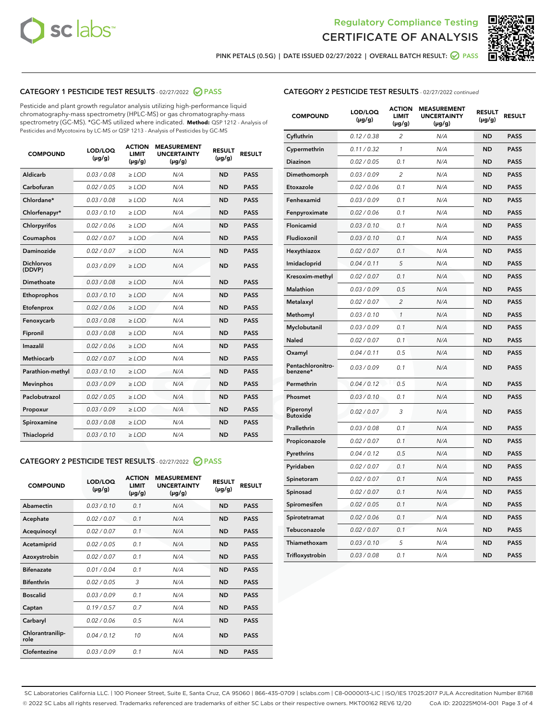



PINK PETALS (0.5G) | DATE ISSUED 02/27/2022 | OVERALL BATCH RESULT:  $\bigcirc$  PASS

# CATEGORY 1 PESTICIDE TEST RESULTS - 02/27/2022 2 PASS

Pesticide and plant growth regulator analysis utilizing high-performance liquid chromatography-mass spectrometry (HPLC-MS) or gas chromatography-mass spectrometry (GC-MS). \*GC-MS utilized where indicated. **Method:** QSP 1212 - Analysis of Pesticides and Mycotoxins by LC-MS or QSP 1213 - Analysis of Pesticides by GC-MS

| <b>COMPOUND</b>             | LOD/LOQ<br>$(\mu g/g)$ | <b>ACTION</b><br>LIMIT<br>$(\mu g/g)$ | <b>MEASUREMENT</b><br><b>UNCERTAINTY</b><br>$(\mu g/g)$ | <b>RESULT</b><br>$(\mu g/g)$ | <b>RESULT</b> |
|-----------------------------|------------------------|---------------------------------------|---------------------------------------------------------|------------------------------|---------------|
| Aldicarb                    | 0.03 / 0.08            | $>$ LOD                               | N/A                                                     | <b>ND</b>                    | <b>PASS</b>   |
| Carbofuran                  | 0.02 / 0.05            | ≥ LOD                                 | N/A                                                     | <b>ND</b>                    | <b>PASS</b>   |
| Chlordane*                  | 0.03/0.08              | $>$ LOD                               | N/A                                                     | <b>ND</b>                    | <b>PASS</b>   |
| Chlorfenapyr*               | 0.03/0.10              | $>$ LOD                               | N/A                                                     | <b>ND</b>                    | <b>PASS</b>   |
| Chlorpyrifos                | 0.02/0.06              | $>$ LOD                               | N/A                                                     | <b>ND</b>                    | <b>PASS</b>   |
| Coumaphos                   | 0.02 / 0.07            | $\ge$ LOD                             | N/A                                                     | <b>ND</b>                    | <b>PASS</b>   |
| Daminozide                  | 0.02 / 0.07            | $>$ LOD                               | N/A                                                     | <b>ND</b>                    | <b>PASS</b>   |
| <b>Dichlorvos</b><br>(DDVP) | 0.03/0.09              | $\geq$ LOD                            | N/A                                                     | <b>ND</b>                    | <b>PASS</b>   |
| Dimethoate                  | 0.03 / 0.08            | $>$ LOD                               | N/A                                                     | <b>ND</b>                    | <b>PASS</b>   |
| Ethoprophos                 | 0.03/0.10              | $\geq$ LOD                            | N/A                                                     | <b>ND</b>                    | <b>PASS</b>   |
| Etofenprox                  | 0.02 / 0.06            | > LOD                                 | N/A                                                     | <b>ND</b>                    | <b>PASS</b>   |
| Fenoxycarb                  | 0.03/0.08              | $>$ LOD                               | N/A                                                     | <b>ND</b>                    | <b>PASS</b>   |
| Fipronil                    | 0.03 / 0.08            | $\geq$ LOD                            | N/A                                                     | <b>ND</b>                    | <b>PASS</b>   |
| Imazalil                    | 0.02 / 0.06            | $\geq$ LOD                            | N/A                                                     | <b>ND</b>                    | <b>PASS</b>   |
| Methiocarb                  | 0.02 / 0.07            | $\ge$ LOD                             | N/A                                                     | <b>ND</b>                    | <b>PASS</b>   |
| Parathion-methyl            | 0.03/0.10              | $\geq$ LOD                            | N/A                                                     | <b>ND</b>                    | <b>PASS</b>   |
| <b>Mevinphos</b>            | 0.03/0.09              | $\geq$ LOD                            | N/A                                                     | <b>ND</b>                    | <b>PASS</b>   |
| Paclobutrazol               | 0.02 / 0.05            | $>$ LOD                               | N/A                                                     | <b>ND</b>                    | <b>PASS</b>   |
| Propoxur                    | 0.03/0.09              | $\ge$ LOD                             | N/A                                                     | <b>ND</b>                    | <b>PASS</b>   |
| Spiroxamine                 | 0.03 / 0.08            | $\geq$ LOD                            | N/A                                                     | <b>ND</b>                    | <b>PASS</b>   |
| <b>Thiacloprid</b>          | 0.03/0.10              | > LOD                                 | N/A                                                     | <b>ND</b>                    | <b>PASS</b>   |

# CATEGORY 2 PESTICIDE TEST RESULTS - 02/27/2022 2 PASS

| <b>COMPOUND</b>          | LOD/LOO<br>$(\mu g/g)$ | <b>ACTION</b><br>LIMIT<br>$(\mu g/g)$ | <b>MEASUREMENT</b><br><b>UNCERTAINTY</b><br>$(\mu g/g)$ | <b>RESULT</b><br>$(\mu g/g)$ | <b>RESULT</b> |  |
|--------------------------|------------------------|---------------------------------------|---------------------------------------------------------|------------------------------|---------------|--|
| Abamectin                | 0.03/0.10              | 0.1                                   | N/A                                                     | <b>ND</b>                    | <b>PASS</b>   |  |
| Acephate                 | 0.02/0.07              | 0.1                                   | N/A                                                     | <b>ND</b>                    | <b>PASS</b>   |  |
| Acequinocyl              | 0.02/0.07              | 0.1                                   | N/A                                                     | <b>ND</b>                    | <b>PASS</b>   |  |
| Acetamiprid              | 0.02/0.05              | 0.1                                   | N/A                                                     | <b>ND</b>                    | <b>PASS</b>   |  |
| Azoxystrobin             | 0.02/0.07              | 0.1                                   | N/A                                                     | <b>ND</b>                    | <b>PASS</b>   |  |
| <b>Bifenazate</b>        | 0.01/0.04              | 0.1                                   | N/A                                                     | <b>ND</b>                    | <b>PASS</b>   |  |
| <b>Bifenthrin</b>        | 0.02/0.05              | 3                                     | N/A                                                     | <b>ND</b>                    | <b>PASS</b>   |  |
| <b>Boscalid</b>          | 0.03/0.09              | 0.1                                   | N/A                                                     | <b>ND</b>                    | <b>PASS</b>   |  |
| Captan                   | 0.19/0.57              | 07                                    | N/A                                                     | <b>ND</b>                    | <b>PASS</b>   |  |
| Carbaryl                 | 0.02/0.06              | 0.5                                   | N/A                                                     | <b>ND</b>                    | <b>PASS</b>   |  |
| Chlorantranilip-<br>role | 0.04/0.12              | 10                                    | N/A                                                     | <b>ND</b>                    | <b>PASS</b>   |  |
| Clofentezine             | 0.03/0.09              | 0.1                                   | N/A                                                     | <b>ND</b>                    | <b>PASS</b>   |  |

# CATEGORY 2 PESTICIDE TEST RESULTS - 02/27/2022 continued

| <b>COMPOUND</b>               | LOD/LOQ<br>(µg/g) | <b>ACTION</b><br><b>LIMIT</b><br>(µg/g) | <b>MEASUREMENT</b><br><b>UNCERTAINTY</b><br>$(\mu g/g)$ | <b>RESULT</b><br>(µg/g) | <b>RESULT</b> |
|-------------------------------|-------------------|-----------------------------------------|---------------------------------------------------------|-------------------------|---------------|
| Cyfluthrin                    | 0.12 / 0.38       | 2                                       | N/A                                                     | <b>ND</b>               | <b>PASS</b>   |
| Cypermethrin                  | 0.11 / 0.32       | $\mathbf{1}$                            | N/A                                                     | <b>ND</b>               | <b>PASS</b>   |
| Diazinon                      | 0.02 / 0.05       | 0.1                                     | N/A                                                     | <b>ND</b>               | <b>PASS</b>   |
| Dimethomorph                  | 0.03 / 0.09       | 2                                       | N/A                                                     | ND                      | <b>PASS</b>   |
| Etoxazole                     | 0.02 / 0.06       | 0.1                                     | N/A                                                     | ND                      | <b>PASS</b>   |
| Fenhexamid                    | 0.03 / 0.09       | 0.1                                     | N/A                                                     | <b>ND</b>               | <b>PASS</b>   |
| Fenpyroximate                 | 0.02 / 0.06       | 0.1                                     | N/A                                                     | <b>ND</b>               | <b>PASS</b>   |
| Flonicamid                    | 0.03 / 0.10       | 0.1                                     | N/A                                                     | <b>ND</b>               | <b>PASS</b>   |
| Fludioxonil                   | 0.03 / 0.10       | 0.1                                     | N/A                                                     | <b>ND</b>               | <b>PASS</b>   |
| Hexythiazox                   | 0.02 / 0.07       | 0.1                                     | N/A                                                     | <b>ND</b>               | <b>PASS</b>   |
| Imidacloprid                  | 0.04 / 0.11       | 5                                       | N/A                                                     | <b>ND</b>               | <b>PASS</b>   |
| Kresoxim-methyl               | 0.02 / 0.07       | 0.1                                     | N/A                                                     | ND                      | <b>PASS</b>   |
| <b>Malathion</b>              | 0.03 / 0.09       | 0.5                                     | N/A                                                     | <b>ND</b>               | <b>PASS</b>   |
| Metalaxyl                     | 0.02 / 0.07       | 2                                       | N/A                                                     | <b>ND</b>               | <b>PASS</b>   |
| Methomyl                      | 0.03 / 0.10       | $\mathbf{1}$                            | N/A                                                     | <b>ND</b>               | <b>PASS</b>   |
| Myclobutanil                  | 0.03 / 0.09       | 0.1                                     | N/A                                                     | <b>ND</b>               | <b>PASS</b>   |
| Naled                         | 0.02 / 0.07       | 0.1                                     | N/A                                                     | <b>ND</b>               | <b>PASS</b>   |
| Oxamyl                        | 0.04 / 0.11       | 0.5                                     | N/A                                                     | ND                      | <b>PASS</b>   |
| Pentachloronitro-<br>benzene* | 0.03 / 0.09       | 0.1                                     | N/A                                                     | <b>ND</b>               | <b>PASS</b>   |
| Permethrin                    | 0.04/0.12         | 0.5                                     | N/A                                                     | <b>ND</b>               | <b>PASS</b>   |
| Phosmet                       | 0.03 / 0.10       | 0.1                                     | N/A                                                     | ND                      | <b>PASS</b>   |
| Piperonyl<br><b>Butoxide</b>  | 0.02 / 0.07       | 3                                       | N/A                                                     | <b>ND</b>               | <b>PASS</b>   |
| Prallethrin                   | 0.03 / 0.08       | 0.1                                     | N/A                                                     | <b>ND</b>               | <b>PASS</b>   |
| Propiconazole                 | 0.02 / 0.07       | 0.1                                     | N/A                                                     | <b>ND</b>               | <b>PASS</b>   |
| Pyrethrins                    | 0.04 / 0.12       | 0.5                                     | N/A                                                     | <b>ND</b>               | <b>PASS</b>   |
| Pyridaben                     | 0.02 / 0.07       | 0.1                                     | N/A                                                     | <b>ND</b>               | PASS          |
| Spinetoram                    | 0.02 / 0.07       | 0.1                                     | N/A                                                     | ND                      | <b>PASS</b>   |
| Spinosad                      | 0.02 / 0.07       | 0.1                                     | N/A                                                     | ND                      | <b>PASS</b>   |
| Spiromesifen                  | 0.02 / 0.05       | 0.1                                     | N/A                                                     | ND                      | <b>PASS</b>   |
| Spirotetramat                 | 0.02 / 0.06       | 0.1                                     | N/A                                                     | ND                      | PASS          |
| Tebuconazole                  | 0.02 / 0.07       | 0.1                                     | N/A                                                     | <b>ND</b>               | <b>PASS</b>   |
| Thiamethoxam                  | 0.03 / 0.10       | 5                                       | N/A                                                     | ND                      | <b>PASS</b>   |
| Trifloxystrobin               | 0.03 / 0.08       | 0.1                                     | N/A                                                     | ND                      | <b>PASS</b>   |

SC Laboratories California LLC. | 100 Pioneer Street, Suite E, Santa Cruz, CA 95060 | 866-435-0709 | sclabs.com | C8-0000013-LIC | ISO/IES 17025:2017 PJLA Accreditation Number 87168 © 2022 SC Labs all rights reserved. Trademarks referenced are trademarks of either SC Labs or their respective owners. MKT00162 REV6 12/20 CoA ID: 220225M014-001 Page 3 of 4